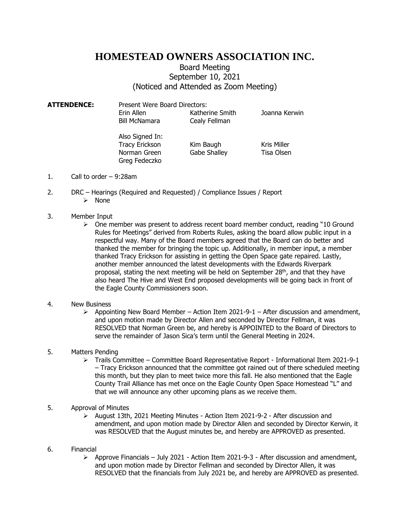# **HOMESTEAD OWNERS ASSOCIATION INC.**

## Board Meeting September 10, 2021 (Noticed and Attended as Zoom Meeting)

| ATTENDENCE: | Present Were Board Directors: |                                  |               |
|-------------|-------------------------------|----------------------------------|---------------|
|             | Erin Allen<br>Bill McNamara   | Katherine Smith<br>Cealy Fellman | Joanna Kerwin |
|             | Also Signed In:               |                                  |               |

Also Signed In: Tracy Erickson Kim Baugh Kris Miller Norman Green Gabe Shalley Tisa Olsen Greg Fedeczko

- 1. Call to order 9:28am
- 2. DRC Hearings (Required and Requested) / Compliance Issues / Report
	- ➢ None

### 3. Member Input

 $\triangleright$  One member was present to address recent board member conduct, reading "10 Ground Rules for Meetings" derived from Roberts Rules, asking the board allow public input in a respectful way. Many of the Board members agreed that the Board can do better and thanked the member for bringing the topic up. Additionally, in member input, a member thanked Tracy Erickson for assisting in getting the Open Space gate repaired. Lastly, another member announced the latest developments with the Edwards Riverpark proposal, stating the next meeting will be held on September 28<sup>th</sup>, and that they have also heard The Hive and West End proposed developments will be going back in front of the Eagle County Commissioners soon.

### 4. New Business

 $\triangleright$  Appointing New Board Member – Action Item 2021-9-1 – After discussion and amendment, and upon motion made by Director Allen and seconded by Director Fellman, it was RESOLVED that Norman Green be, and hereby is APPOINTED to the Board of Directors to serve the remainder of Jason Sica's term until the General Meeting in 2024.

### 5. Matters Pending

- ➢ Trails Committee Committee Board Representative Report Informational Item 2021-9-1 – Tracy Erickson announced that the committee got rained out of there scheduled meeting this month, but they plan to meet twice more this fall. He also mentioned that the Eagle County Trail Alliance has met once on the Eagle County Open Space Homestead "L" and that we will announce any other upcoming plans as we receive them.
- 5. Approval of Minutes
	- ➢ August 13th, 2021 Meeting Minutes Action Item 2021-9-2 After discussion and amendment, and upon motion made by Director Allen and seconded by Director Kerwin, it was RESOLVED that the August minutes be, and hereby are APPROVED as presented.
- 6. Financial
	- ➢ Approve Financials July 2021 Action Item 2021-9-3 After discussion and amendment, and upon motion made by Director Fellman and seconded by Director Allen, it was RESOLVED that the financials from July 2021 be, and hereby are APPROVED as presented.